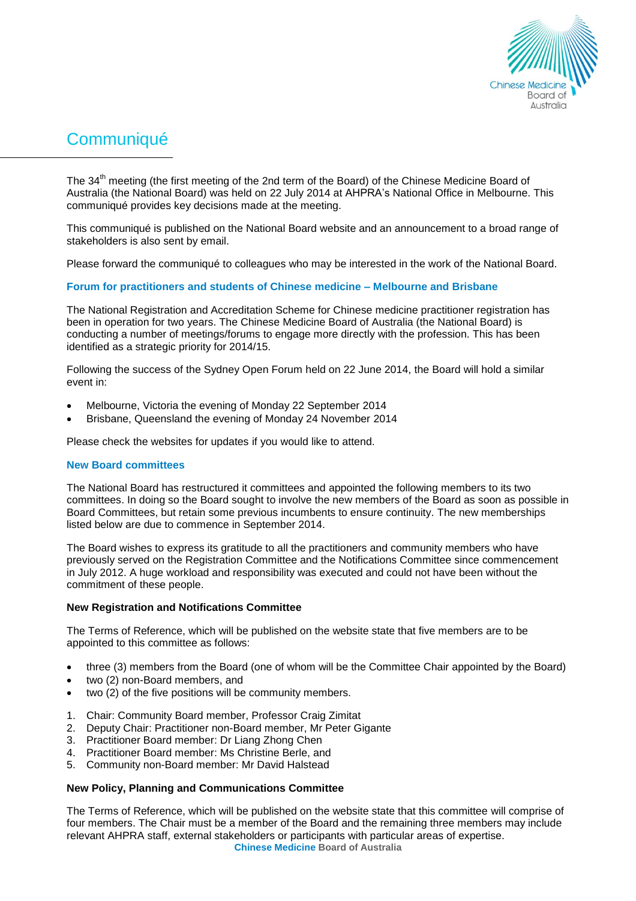

# **Communiqué**

The 34<sup>th</sup> meeting (the first meeting of the 2nd term of the Board) of the Chinese Medicine Board of Australia (the National Board) was held on 22 July 2014 at AHPRA's National Office in Melbourne. This communiqué provides key decisions made at the meeting.

This communiqué is published on the National Board website and an announcement to a broad range of stakeholders is also sent by email.

Please forward the communiqué to colleagues who may be interested in the work of the National Board.

## **Forum for practitioners and students of Chinese medicine – Melbourne and Brisbane**

The National Registration and Accreditation Scheme for Chinese medicine practitioner registration has been in operation for two years. The Chinese Medicine Board of Australia (the National Board) is conducting a number of meetings/forums to engage more directly with the profession. This has been identified as a strategic priority for 2014/15.

Following the success of the Sydney Open Forum held on 22 June 2014, the Board will hold a similar event in:

- Melbourne, Victoria the evening of Monday 22 September 2014
- Brisbane, Queensland the evening of Monday 24 November 2014

Please check the websites for updates if you would like to attend.

## **New Board committees**

The National Board has restructured it committees and appointed the following members to its two committees. In doing so the Board sought to involve the new members of the Board as soon as possible in Board Committees, but retain some previous incumbents to ensure continuity. The new memberships listed below are due to commence in September 2014.

The Board wishes to express its gratitude to all the practitioners and community members who have previously served on the Registration Committee and the Notifications Committee since commencement in July 2012. A huge workload and responsibility was executed and could not have been without the commitment of these people.

## **New Registration and Notifications Committee**

The Terms of Reference, which will be published on the website state that five members are to be appointed to this committee as follows:

- three (3) members from the Board (one of whom will be the Committee Chair appointed by the Board)
- two (2) non-Board members, and
- two (2) of the five positions will be community members.
- 1. Chair: Community Board member, Professor Craig Zimitat
- 2. Deputy Chair: Practitioner non-Board member, Mr Peter Gigante
- 3. Practitioner Board member: Dr Liang Zhong Chen
- 4. Practitioner Board member: Ms Christine Berle, and
- 5. Community non-Board member: Mr David Halstead

## **New Policy, Planning and Communications Committee**

The Terms of Reference, which will be published on the website state that this committee will comprise of four members. The Chair must be a member of the Board and the remaining three members may include relevant AHPRA staff, external stakeholders or participants with particular areas of expertise.

**Chinese Medicine Board of Australia**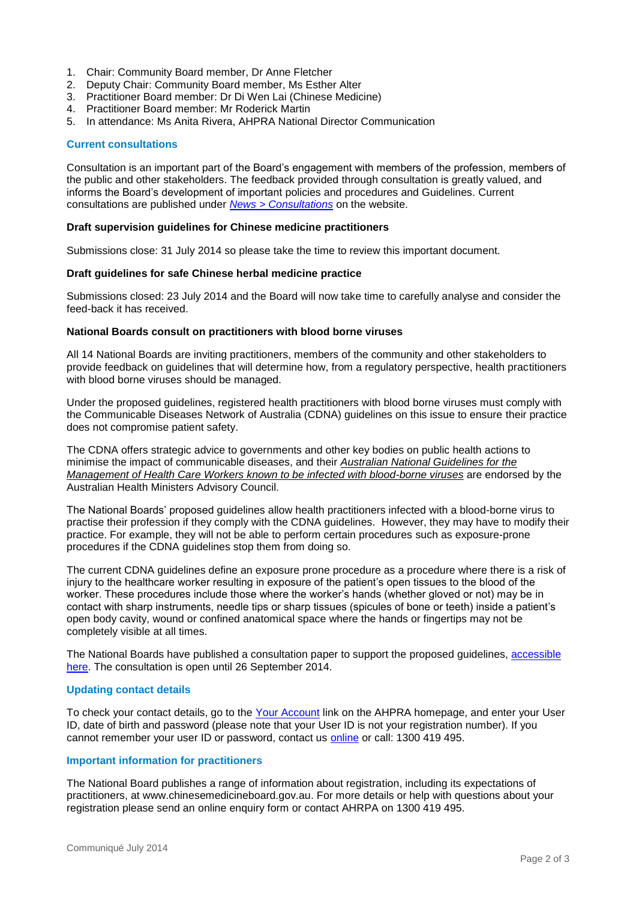- 1. Chair: Community Board member, Dr Anne Fletcher
- 2. Deputy Chair: Community Board member, Ms Esther Alter
- 3. Practitioner Board member: Dr Di Wen Lai (Chinese Medicine)
- 4. Practitioner Board member: Mr Roderick Martin
- 5. In attendance: Ms Anita Rivera, AHPRA National Director Communication

#### **Current consultations**

Consultation is an important part of the Board's engagement with members of the profession, members of the public and other stakeholders. The feedback provided through consultation is greatly valued, and informs the Board's development of important policies and procedures and Guidelines. Current consultations are published under *[News > Consultations](http://www.chinesemedicineboard.gov.au/News/Consultations.aspx)* on the website.

#### **Draft supervision guidelines for Chinese medicine practitioners**

Submissions close: 31 July 2014 so please take the time to review this important document.

#### **Draft guidelines for safe Chinese herbal medicine practice**

Submissions closed: 23 July 2014 and the Board will now take time to carefully analyse and consider the feed-back it has received.

#### **National Boards consult on practitioners with blood borne viruses**

All 14 National Boards are inviting practitioners, members of the community and other stakeholders to provide feedback on guidelines that will determine how, from a regulatory perspective, health practitioners with blood borne viruses should be managed.

Under the proposed guidelines, registered health practitioners with blood borne viruses must comply with the Communicable Diseases Network of Australia (CDNA) guidelines on this issue to ensure their practice does not compromise patient safety.

The CDNA offers strategic advice to governments and other key bodies on public health actions to minimise the impact of communicable diseases, and their *[Australian National Guidelines for the](http://www.health.gov.au/internet/main/publishing.nsf/Content/cda-cdna-bloodborne.htm)  [Management of Health Care Workers known to be infected with blood-borne viruses](http://www.health.gov.au/internet/main/publishing.nsf/Content/cda-cdna-bloodborne.htm)* are endorsed by the Australian Health Ministers Advisory Council.

The National Boards' proposed guidelines allow health practitioners infected with a blood-borne virus to practise their profession if they comply with the CDNA guidelines. However, they may have to modify their practice. For example, they will not be able to perform certain procedures such as exposure-prone procedures if the CDNA guidelines stop them from doing so.

The current CDNA guidelines define an exposure prone procedure as a procedure where there is a risk of injury to the healthcare worker resulting in exposure of the patient's open tissues to the blood of the worker. These procedures include those where the worker's hands (whether gloved or not) may be in contact with sharp instruments, needle tips or sharp tissues (spicules of bone or teeth) inside a patient's open body cavity, wound or confined anatomical space where the hands or fingertips may not be completely visible at all times.

The National Boards have published a consultation paper to support the proposed guidelines, [accessible](http://www.ahpra.gov.au/News/Consultations.aspx#public)  [here.](http://www.ahpra.gov.au/News/Consultations.aspx#public) The consultation is open until 26 September 2014.

## **Updating contact details**

To check your contact details, go to the [Your Account](https://www.ahpra.gov.au/Login.aspx) link on the AHPRA homepage, and enter your User ID, date of birth and password (please note that your User ID is not your registration number). If you cannot remember your user ID or password, contact us [online](http://www.ahpra.gov.au/About-AHPRA/Contact-Us.aspx) or call: 1300 419 495.

#### **Important information for practitioners**

The National Board publishes a range of information about registration, including its expectations of practitioners, at [www.chinesemedicineboard.gov.au.](http://www.chinesemedicineboard.gov.au/) For more details or help with questions about your registration please send an [online enquiry form](https://www.ahpra.gov.au/About-AHPRA/Contact-Us/Make-an-Enquiry.aspx#Webenquiryform) or contact AHRPA on 1300 419 495.